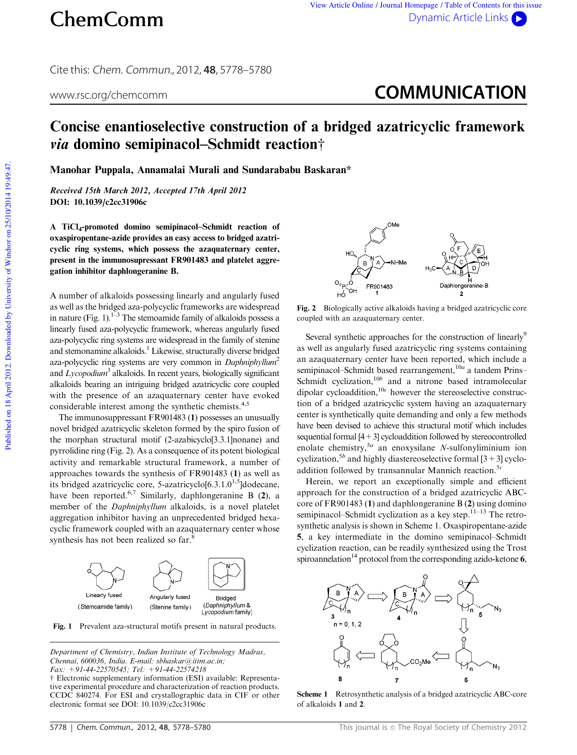Cite this: Chem. Commun., 2012, **48**, 5778–5780

## www.rsc.org/chemcomm **COMMUNICATION**

## Concise enantioselective construction of a bridged azatricyclic framework  $via$  domino semipinacol–Schmidt reaction<sup>+</sup>

Manohar Puppala, Annamalai Murali and Sundarababu Baskaran\*

Received 15th March 2012, Accepted 17th April 2012 DOI: 10.1039/c2cc31906c

A TiCl<sup>4</sup> -promoted domino semipinacol–Schmidt reaction of oxaspiropentane-azide provides an easy access to bridged azatricyclic ring systems, which possess the azaquaternary center, present in the immunosupressant FR901483 and platelet aggregation inhibitor daphlongeranine B.

A number of alkaloids possessing linearly and angularly fused as well as the bridged aza-polycyclic frameworks are widespread in nature (Fig. 1).<sup>1–3</sup> The stemoamide family of alkaloids possess a linearly fused aza-polycyclic framework, whereas angularly fused aza-polycyclic ring systems are widespread in the family of stenine and stemonamine alkaloids.<sup>1</sup> Likewise, structurally diverse bridged aza-polycyclic ring systems are very common in *Daphniphyllum*<sup>2</sup> and *Lycopodium*<sup>3</sup> alkaloids. In recent years, biologically significant alkaloids bearing an intriguing bridged azatricyclic core coupled with the presence of an azaquaternary center have evoked considerable interest among the synthetic chemists.<sup>4,5</sup>

The immunosuppressant FR901483 (1) possesses an unusually novel bridged azatricyclic skeleton formed by the spiro fusion of the morphan structural motif (2-azabicyclo[3.3.1]nonane) and pyrrolidine ring (Fig. 2). As a consequence of its potent biological activity and remarkable structural framework, a number of approaches towards the synthesis of FR901483 (1) as well as its bridged azatricyclic core, 5-azatricyclo $[6.3.1.0^{1.5}]$ dodecane, have been reported.<sup>6,7</sup> Similarly, daphlongeranine B  $(2)$ , a member of the *Daphniphyllum* alkaloids, is a novel platelet aggregation inhibitor having an unprecedented bridged hexacyclic framework coupled with an azaquaternary center whose synthesis has not been realized so far.<sup>8</sup>



Fig. 1 Prevalent aza-structural motifs present in natural products.

*Department of Chemistry, Indian Institute of Technology Madras, Chennai, 600036, India. E-mail: sbhaskar@iitm.ac.in; Fax: +91-44-22570545; Tel: +91-44-22574218*

 $\dagger$  Electronic supplementary information (ESI) available: Representative experimental procedure and characterization of reaction products. CCDC 840274. For ESI and crystallographic data in CIF or other electronic format see DOI: 10.1039/c2cc31906c



Fig. 2 Biologically active alkaloids having a bridged azatricyclic core coupled with an azaquaternary center.

Several synthetic approaches for the construction of linearly<sup>9</sup> as well as angularly fused azatricyclic ring systems containing an azaquaternary center have been reported, which include a semipinacol–Schmidt based rearrangement,<sup>10*a*</sup> a tandem Prins– Schmidt cyclization,<sup>10b</sup> and a nitrone based intramolecular dipolar cycloaddition,<sup>10c</sup> however the stereoselective construction of a bridged azatricyclic system having an azaquaternary center is synthetically quite demanding and only a few methods have been devised to achieve this structural motif which includes sequential formal [4+3] cycloaddition followed by stereocontrolled enolate chemistry,<sup>5*a*</sup> an enoxysilane *N*-sulfonyliminium ion cyclization,<sup>5*b*</sup> and highly diastereoselective formal  $[3+3]$  cycloaddition followed by transannular Mannich reaction.<sup>5*c*</sup>

Herein, we report an exceptionally simple and efficient approach for the construction of a bridged azatricyclic ABCcore of FR901483 (1) and daphlongeranine B (2) using domino semipinacol–Schmidt cyclization as a key step. $11-13$  The retrosynthetic analysis is shown in Scheme 1. Oxaspiropentane-azide 5, a key intermediate in the domino semipinacol–Schmidt cyclization reaction, can be readily synthesized using the Trost spiroannelation<sup>14</sup> protocol from the corresponding azido-ketone 6,



Scheme 1 Retrosynthetic analysis of a bridged azatricyclic ABC-core of alkaloids 1 and 2.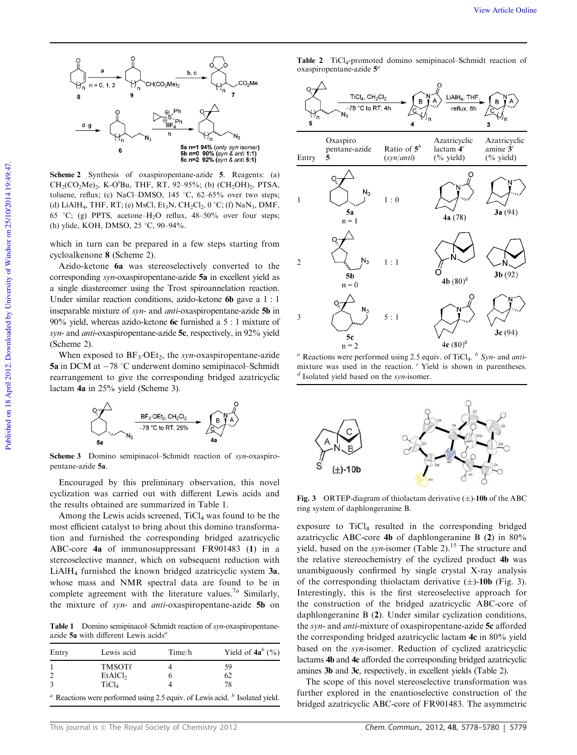

Scheme 2 Synthesis of oxaspiropentane-azide 5. Reagents: (a)  $CH_2(CO_2Me)_2$ , K-O<sup>t</sup>Bu, THF, RT, 92-95%; (b)  $(CH_2OH)_2$ , PTSA, toluene, reflux; (c) NaCl–DMSO,  $145\degree C$ ,  $62-65\%$  over two steps; (d) LiAlH<sub>4</sub>, THF, RT; (e) MsCl, Et<sub>3</sub>N, CH<sub>2</sub>Cl<sub>2</sub>, 0 °C; (f) NaN<sub>3</sub>, DMF, 65 °C; (g) PPTS, acetone–H<sub>2</sub>O reflux,  $48-50\%$  over four steps; (h) ylide, KOH, DMSO, 25 °C, 90–94%.

which in turn can be prepared in a few steps starting from cycloalkenone 8 (Scheme 2).

Azido-ketone 6a was stereoselectively converted to the corresponding *syn*-oxaspiropentane-azide 5a in excellent yield as a single diastereomer using the Trost spiroannelation reaction. Under similar reaction conditions, azido-ketone **6b** gave a 1 : 1 inseparable mixture of *syn*- and *anti*-oxaspiropentane-azide 5b in  $90\%$  yield, whereas azido-ketone 6c furnished a 5 : 1 mixture of *syn*- and *anti*-oxaspiropentane-azide 5c, respectively, in 92% yield (Scheme 2).

When exposed to BF3-OEt2, the *syn*-oxaspiropentane-azide 5a in DCM at  $-78$  °C underwent domino semipinacol–Schmidt rearrangement to give the corresponding bridged azatricyclic lactam 4a in 25% yield (Scheme 3).



Scheme 3 Domino semipinacol–Schmidt reaction of *syn*-oxaspiropentane-azide 5a.

Encouraged by this preliminary observation, this novel cyclization was carried out with different Lewis acids and the results obtained are summarized in Table 1.

Among the Lewis acids screened,  $TiCl<sub>4</sub>$  was found to be the most efficient catalyst to bring about this domino transformation and furnished the corresponding bridged azatricyclic ABC-core 4a of immunosuppressant FR901483 (1) in a stereoselective manner, which on subsequent reduction with LiAlH<sup>4</sup> furnished the known bridged azatricyclic system 3a, whose mass and NMR spectral data are found to be in complete agreement with the literature values.7*<sup>a</sup>* Similarly, the mixture of *syn*- and *anti*-oxaspiropentane-azide 5b on

Table 1 Domino semipinacol–Schmidt reaction of *syn*-oxaspiropentaneazide 5a with different Lewis acids*<sup>a</sup>*

| Entry          | Lewis acid          | Time/h | Yield of $4a^b$ (%)                                                              |
|----------------|---------------------|--------|----------------------------------------------------------------------------------|
|                | <b>TMSOTf</b>       |        | 59                                                                               |
| $\overline{2}$ | EtAICl <sub>2</sub> |        | 62                                                                               |
| $\mathcal{R}$  | TiCl <sub>4</sub>   |        | 78                                                                               |
|                |                     |        | $a$ Reactions were performed using 2.5 equiv. of Lewis acid. $b$ Isolated yield. |



*<sup>a</sup>* Reactions were performed using 2.5 equiv. of TiCl<sup>4</sup> . *b Syn-* and *anti*mixture was used in the reaction. *<sup>c</sup>* Yield is shown in parentheses. *d* Isolated yield based on the *syn-*isomer.



Fig. 3 ORTEP-diagram of thiolactam derivative  $(\pm)$ -10b of the ABC ring system of daphlongeranine B.

exposure to  $TiCl<sub>4</sub>$  resulted in the corresponding bridged azatricyclic ABC-core 4b of daphlongeranine B (2) in 80% yield, based on the *syn*-isomer (Table 2).<sup>15</sup> The structure and the relative stereochemistry of the cyclized product 4b was unambiguously confirmed by single crystal X-ray analysis of the corresponding thiolactam derivative  $(\pm)$ -10b (Fig. 3). Interestingly, this is the first stereoselective approach for the construction of the bridged azatricyclic ABC-core of daphlongeranine B (2). Under similar cyclization conditions, the *syn*- and *anti*-mixture of oxaspiropentane-azide 5c afforded the corresponding bridged azatricyclic lactam 4c in 80% yield based on the *syn*-isomer. Reduction of cyclized azatricyclic lactams 4b and 4c afforded the corresponding bridged azatricyclic amines 3b and 3c, respectively, in excellent yields (Table 2).

The scope of this novel stereoselective transformation was further explored in the enantioselective construction of the bridged azatricyclic ABC-core of FR901483. The asymmetric